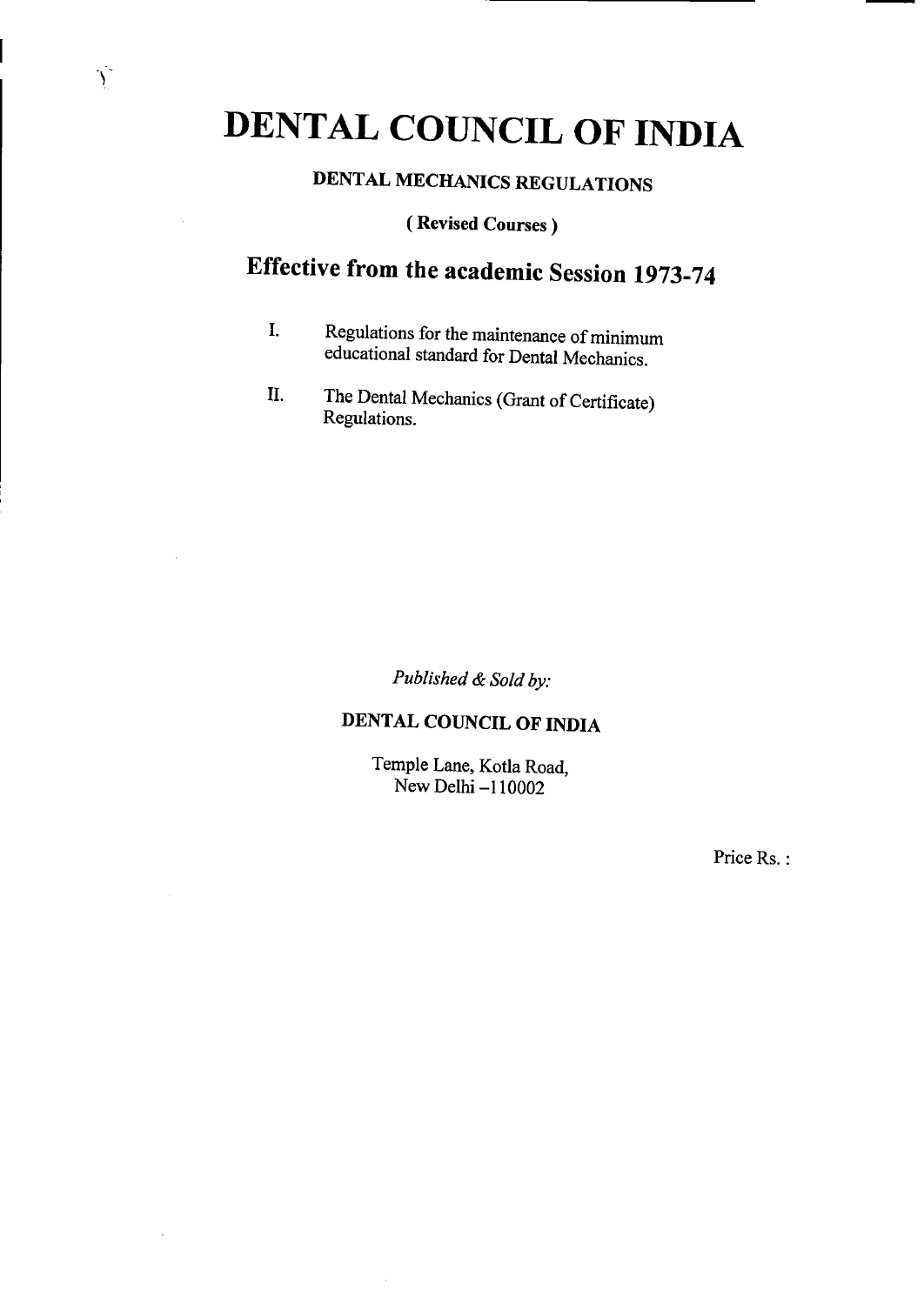## DENTAL COUNCIL OF INDIA

 $\sum_{i=1}^{n}$ 

 $\cdot$ 

## **DENTAL MECHANICS REGULATIONS**

**(Revised Courses)** 

## Effective from the academic Session 1973-74

- I. Regulations for the maintenance of minimum educational standard for Dental Mechanics.
- II. The Dental Mechanics (Grant of Certificate) Regulations.

*Published & Sold by.* 

## **DENTAL COUNCIL OF INDIA**

Temple Lane, Kotla Road, New Delhi —110002

Price Rs.: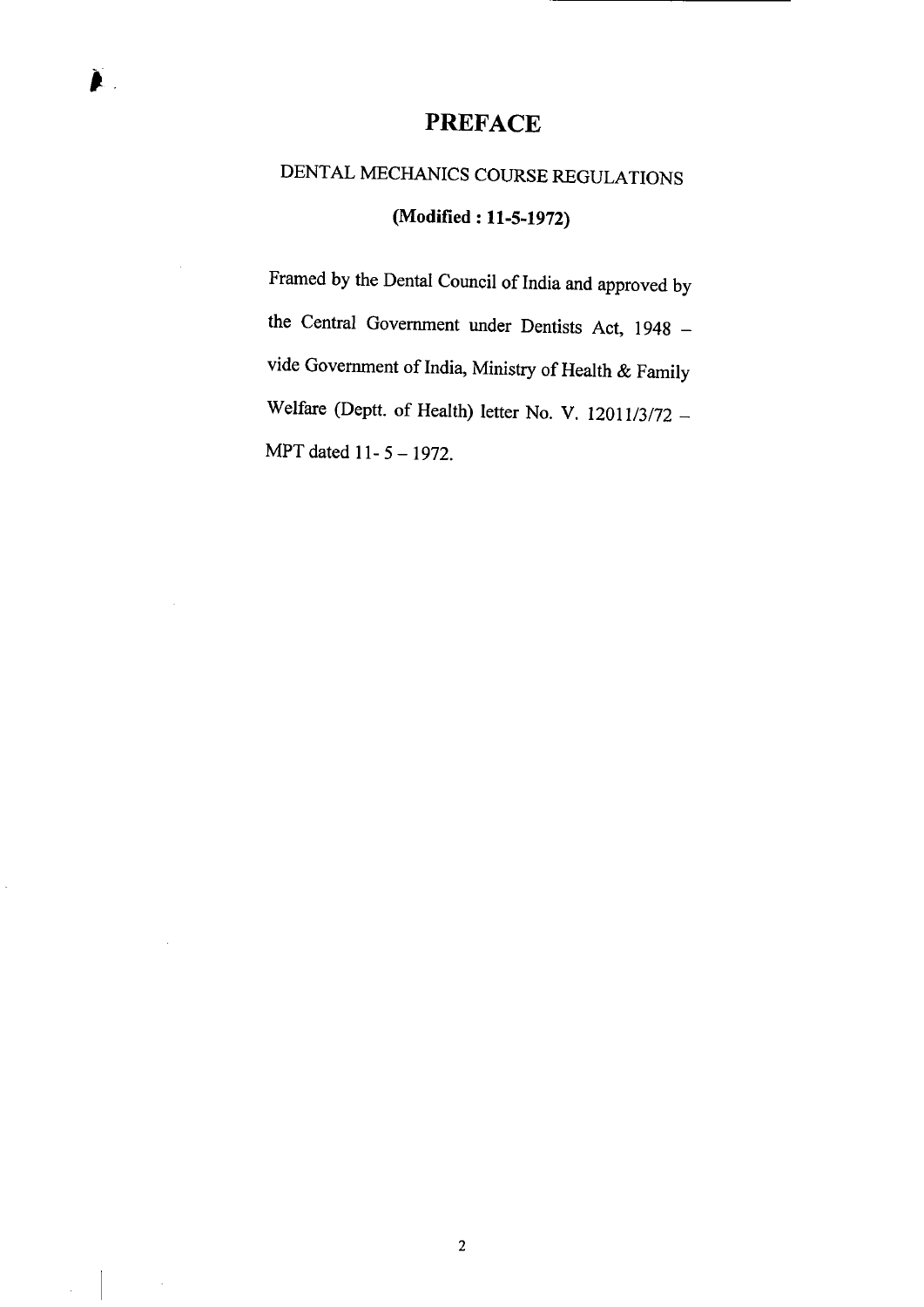#### PREFACE

## DENTAL MECHANICS COURSE REGULATIONS **(Modified: 11-5-1972)**

Framed by the Dental Council of India and approved by the Central Government under Dentists Act, 1948 vide Government of India, Ministry of Health & Family Welfare (Deptt. of Health) letter No. V. 12011/3/72 — MPT dated 11-5 - 1972.

2

 $\hat{\mathcal{A}}$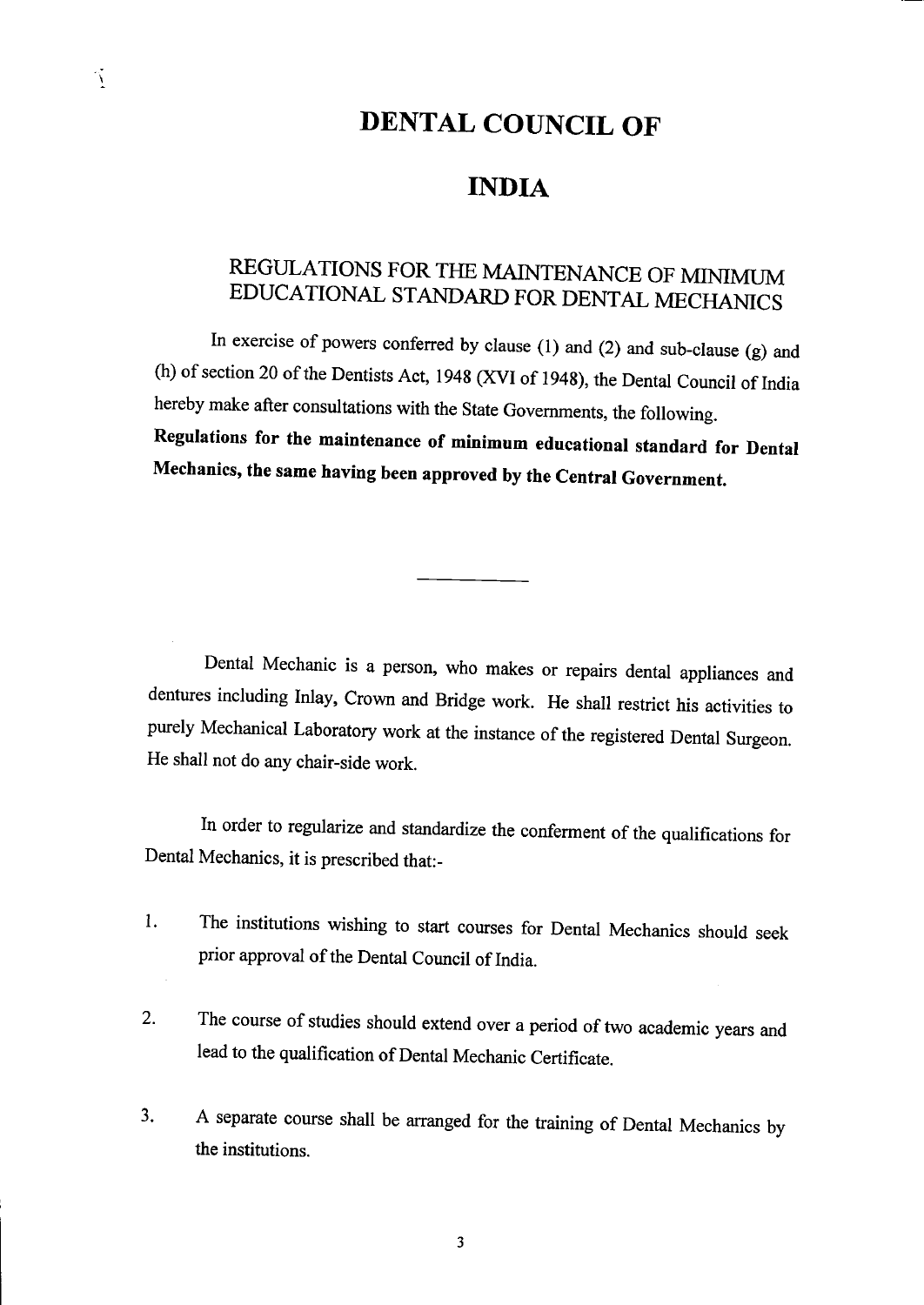## DENTAL COUNCIL OF

### INDIA

## REGULATIONS FOR THE MAINTENANCE OF MINIMUM EDUCATIONAL STANDARD FOR DENTAL MECHANICS

In exercise of powers conferred by clause (1) and (2) and sub-clause (g) and (h) of section 20 of the Dentists Act, 1948 (XVI of 1948), the Dental Council of India hereby make after consultations with the State Governments, the following. **Regulations for the maintenance of minimum educational standard for Dental Mechanics, the same having been approved by the Central Government.** 

Dental Mechanic is a person, who makes or repairs dental appliances and dentures including Inlay, Crown and Bridge work. He shall restrict his activities to purely Mechanical Laboratory work at the instance of the registered Dental Surgeon. He shall not do any chair-side work.

In order to regularize and standardize the conferment of the qualifications for Dental Mechanics, it is prescribed that:-

- 1. The institutions wishing to start courses for Dental Mechanics should seek prior approval of the Dental Council of India.
- 2. The course of studies should extend over a period of two academic years and lead to the qualification of Dental Mechanic Certificate.
- 3. A separate course shall be arranged for the training of Dental Mechanics by the institutions.

 $\tilde{\Delta}$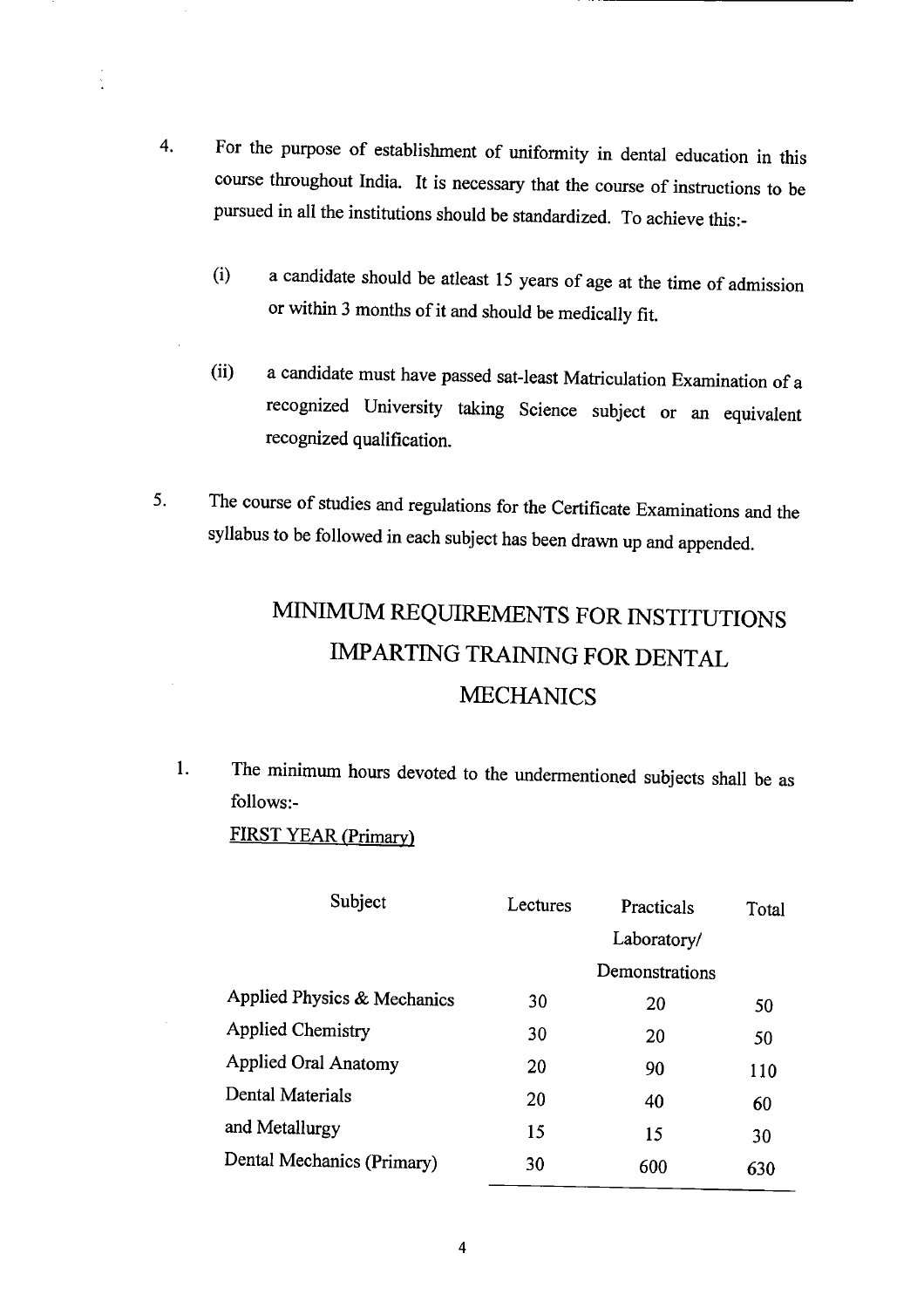- 4. For the purpose of establishment of uniformity in dental education in this course throughout India. It is necessary that the course of instructions to be pursued in all the institutions should be standardized. To achieve this:-
	- (i) a candidate should be atleast 15 years of age at the time of admission or within 3 months of it and should be medically *fit.*
	- (ii) a candidate must have passed sat-least Matriculation Examination of a recognized University taking Science subject or an equivalent recognized qualification.
- *5.* The course of studies and regulations for the Certificate Examinations and the syllabus to be followed in each subject has been drawn up and appended.

## MiNIMUM REQUIREMENTS FOR INSTITUTIONS IMPARTiNG TRAINING FOR DENTAL MECHANICS

1. The minimum hours devoted to the undermentioned subjects shall be as follows:-

FIRST YEAR (Primary)

| Subject                     | Lectures | Practicals     | Total |
|-----------------------------|----------|----------------|-------|
|                             |          | Laboratory/    |       |
|                             |          | Demonstrations |       |
| Applied Physics & Mechanics | 30       | 20             | 50    |
| <b>Applied Chemistry</b>    | 30       | 20             | 50    |
| <b>Applied Oral Anatomy</b> | 20       | 90             | 110   |
| Dental Materials            | 20       | 40             | 60    |
| and Metallurgy              | 15       | 15             | 30    |
| Dental Mechanics (Primary)  | 30       | 600            | 630   |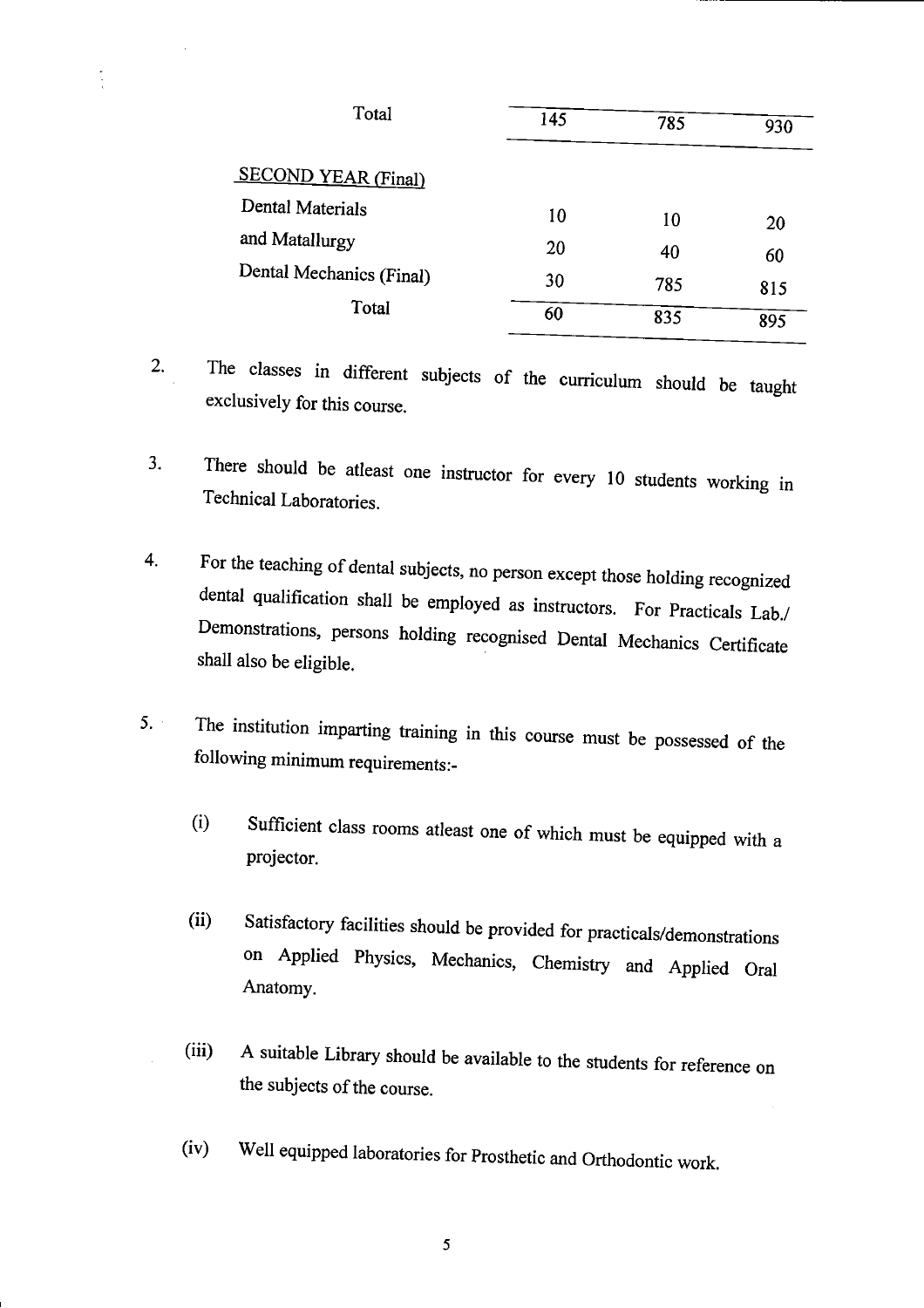| Total                    | 145 |     |     |  |
|--------------------------|-----|-----|-----|--|
|                          |     | 785 | 930 |  |
| SECOND YEAR (Final)      |     |     |     |  |
| Dental Materials         | 10  | 10  | 20  |  |
| and Matallurgy           | 20  | 40  | 60  |  |
| Dental Mechanics (Final) | 30  | 785 | 815 |  |
| Total                    | 60  | 835 | 895 |  |

- 2. The classes in different subjects of the curriculum should be taught exclusively for this course.
- 3. There should be atleast one instructor for every 10 students working in Technical Laboratories.
- 4. For the teaching of dental subjects, no person except those holding recognized dental qualification shall be employed as instructors. For Practicals Lab./ Demonstrations, persons holding recognised Dental Mechanics Certificate shall also be eligible.
- 5. The institution imparting training in this course must be possessed of the following minimum requirements:-
	- (i) Sufficient class rooms atleast one of which must be equipped with a projector.
	- (ii) Satisfactory facilities should be provided for practicals/demonstrations on Applied Physics, Mechanics, Chemistry and Applied Oral Anatomy.
	- (iii) A suitable Library should be available to the students for reference on the subjects of the course.
	- (iv) Well equipped laboratories for Prosthetic and Orthodontic work.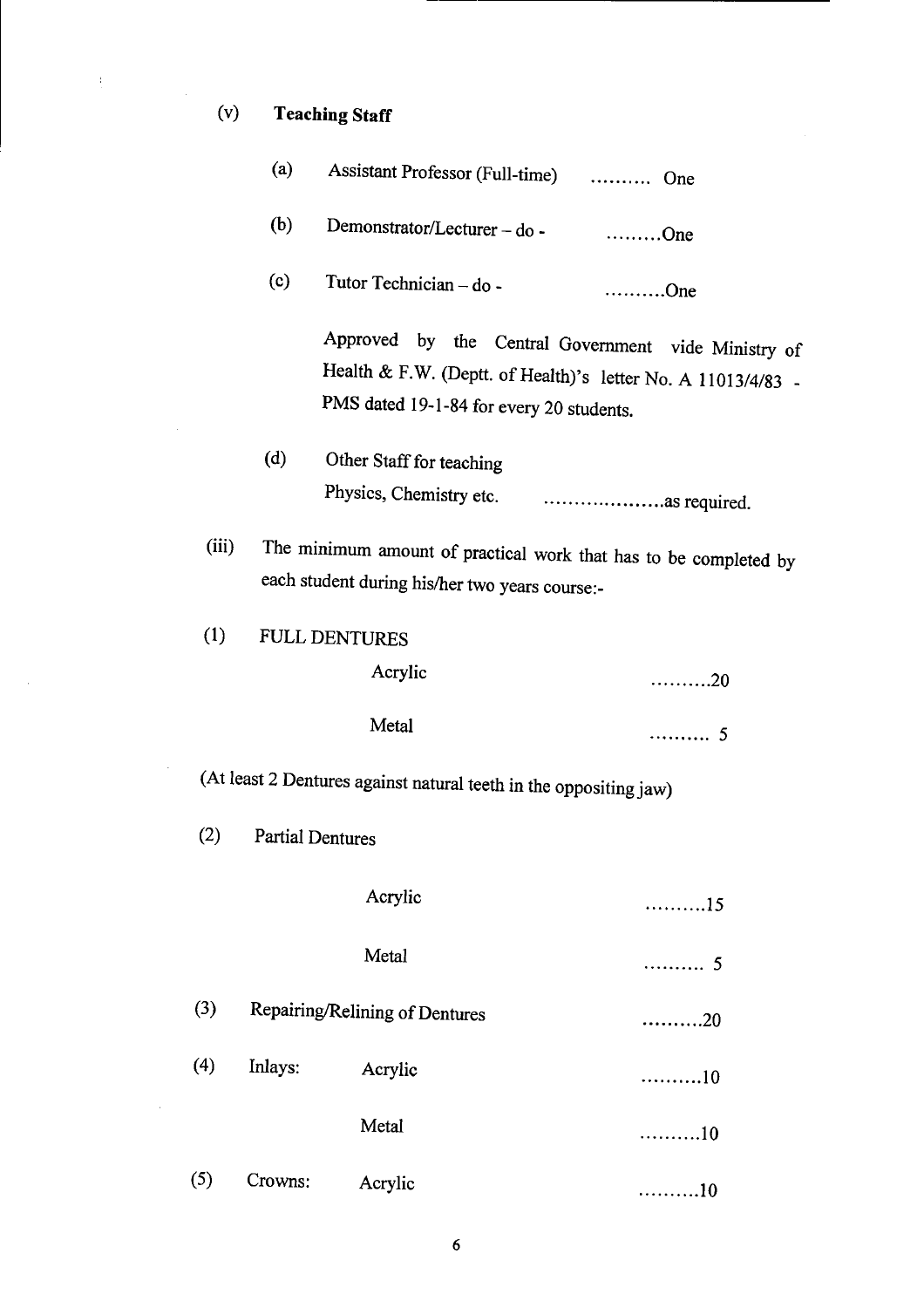# (v) **Teaching Staff**

 $\frac{1}{2}$ 

 $\mathbb{Z}_2$ 

 $\bar{\beta}$ 

 $\hat{\mathcal{A}}$ 

 $\bar{\mathcal{A}}$ 

|       | (a)                                    | Assistant Professor (Full-time)  One                              |                                                                                                                     |  |
|-------|----------------------------------------|-------------------------------------------------------------------|---------------------------------------------------------------------------------------------------------------------|--|
|       | (b)                                    | Demonstrator/Lecturer – do - One                                  |                                                                                                                     |  |
|       | (c)                                    | Tutor Technician - do -                                           | $\dots\dots\dots\dots$ One                                                                                          |  |
|       |                                        | PMS dated 19-1-84 for every 20 students.                          | Approved by the Central Government vide Ministry of<br>Health & F.W. (Deptt. of Health)'s letter No. A 11013/4/83 - |  |
|       | (d)                                    | Other Staff for teaching                                          |                                                                                                                     |  |
| (iii) |                                        | each student during his/her two years course:-                    | The minimum amount of practical work that has to be completed by                                                    |  |
| (1)   |                                        | FULL DENTURES                                                     |                                                                                                                     |  |
|       |                                        | Acrylic                                                           | . 20                                                                                                                |  |
|       |                                        | Metal                                                             | 5                                                                                                                   |  |
|       |                                        | (At least 2 Dentures against natural teeth in the oppositing jaw) |                                                                                                                     |  |
| (2)   |                                        | <b>Partial Dentures</b>                                           |                                                                                                                     |  |
|       |                                        | Acrylic                                                           | 15                                                                                                                  |  |
|       |                                        | Metal                                                             | . 5                                                                                                                 |  |
| (3)   | Repairing/Relining of Dentures<br>. 20 |                                                                   |                                                                                                                     |  |
| (4)   | Inlays:                                | Acrylic                                                           | 10                                                                                                                  |  |
|       |                                        | Metal                                                             | 10                                                                                                                  |  |
| (5)   | Crowns:                                | Acrylic                                                           | . 10                                                                                                                |  |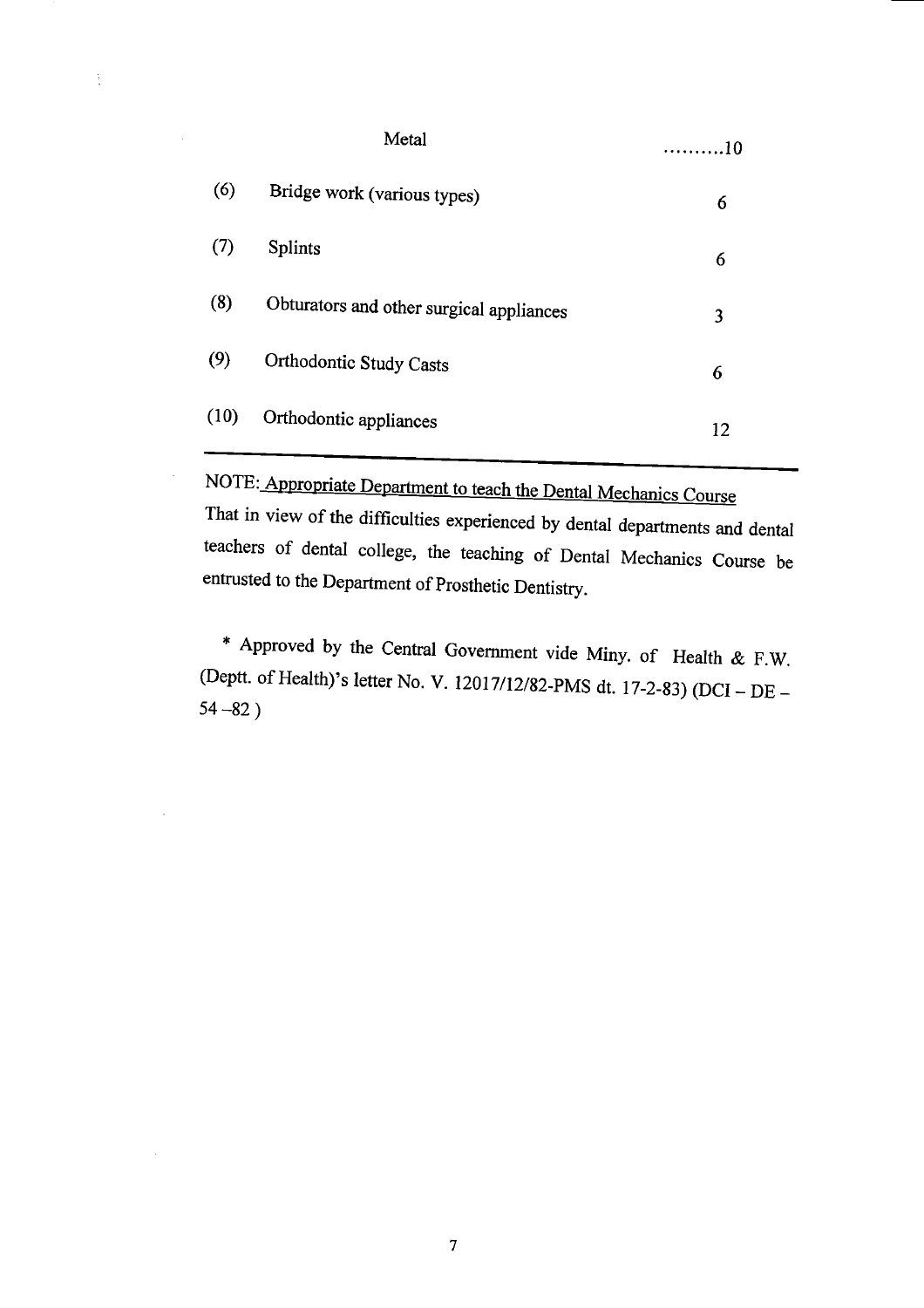|      | . 10                                     |    |
|------|------------------------------------------|----|
| (6)  | Bridge work (various types)              | 6  |
| (7)  | <b>Splints</b>                           | 6  |
| (8)  | Obturators and other surgical appliances | 3  |
| (9)  | Orthodontic Study Casts                  | 6  |
| (10) | Orthodontic appliances                   | 12 |

 $\frac{1}{3}$ 

NOTE: Appropriate Department to teach the Dental Mechanics Course

That in view of the difficulties experienced by dental departments and dental teachers of dental college, the teaching of Dental Mechanics Course be entrusted to the Department of Prosthetic Dentistry.

\* Approved by the Central Government vide Miny. of Health & F.W. (Deptt. of Health)'s letter No. V. l2O17/12/82-pMS dt. 17-2-83) (DCI — DE — *54* —82)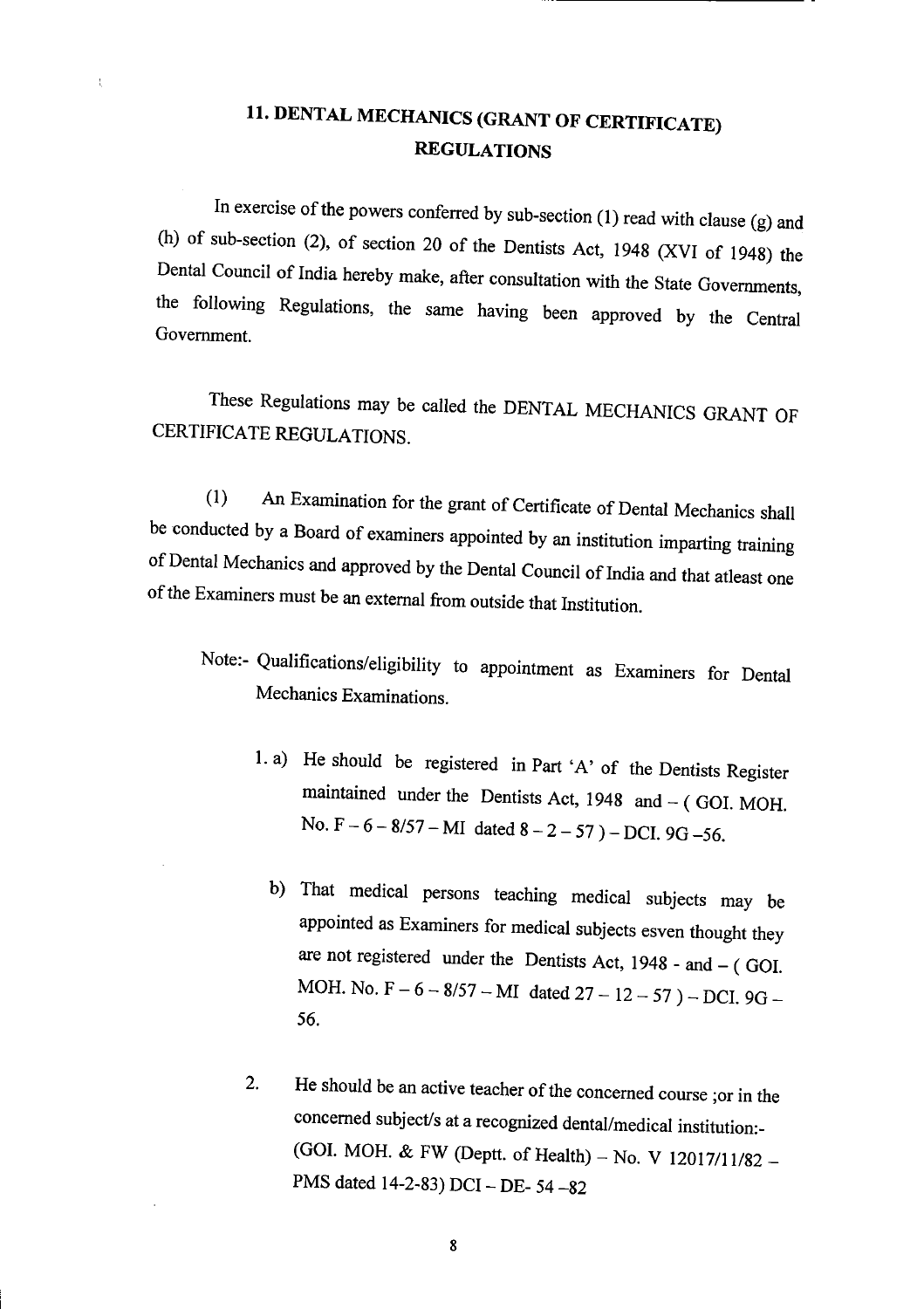## **11. DENTAL MECHANICS (GRANT OF CERTIFICATE) REGULATIONS**

In exercise of the powers conferred by sub-section (1) read with clause (g) and (h) of sub-section (2), of section 20 of the Dentists Act, 1948 (XVI of 1948) the Dental Council of India hereby make, after consultation with the State Governments, the following Regulations, the same having been approved by the Central Government.

These Regulations may be called the DENTAL MECHANICS GRANT OF CERTIFICATE REGULATIONS.

(1) An Examination for the grant of Certificate of Dental Mechanics shall be conducted by a Board of examiners appointed by an institution imparting training of Dental Mechanics and approved by the Dental Council of India and that atleast one of the Examiners must be an external from outside that Institution.

- Note:- Qualifications/eligibility to appointment as Examiners for Dental Mechanics Examinations.
	- 1. a) He should be registered in Part 'A' of the Dentists Register maintained under the Dentists Act, 1948 and - (GOI. MOH. *No.*  $F-6-8/57-MI$  dated  $8-2-57$ ) – DCI, 9G-56.
		- b) That medical persons teaching medical subjects may be appointed as Examiners for medical subjects esven thought they are not registered under the Dentists Act, 1948 - and — ( GOT. MOH. No. F – 6 – 8/57 – MI dated  $27 - 12 - 57$ ) – DCI. 9G – *56.*
	- 2. He should be an active teacher of the concerned course ;or in the concerned subject's at a recognized dental/medical institution:- (GOT. MOH. & FW (Deptt. of Health) — No. V 12017/11/82 — PMS dated 14-2-83) DCI — DE- 54-82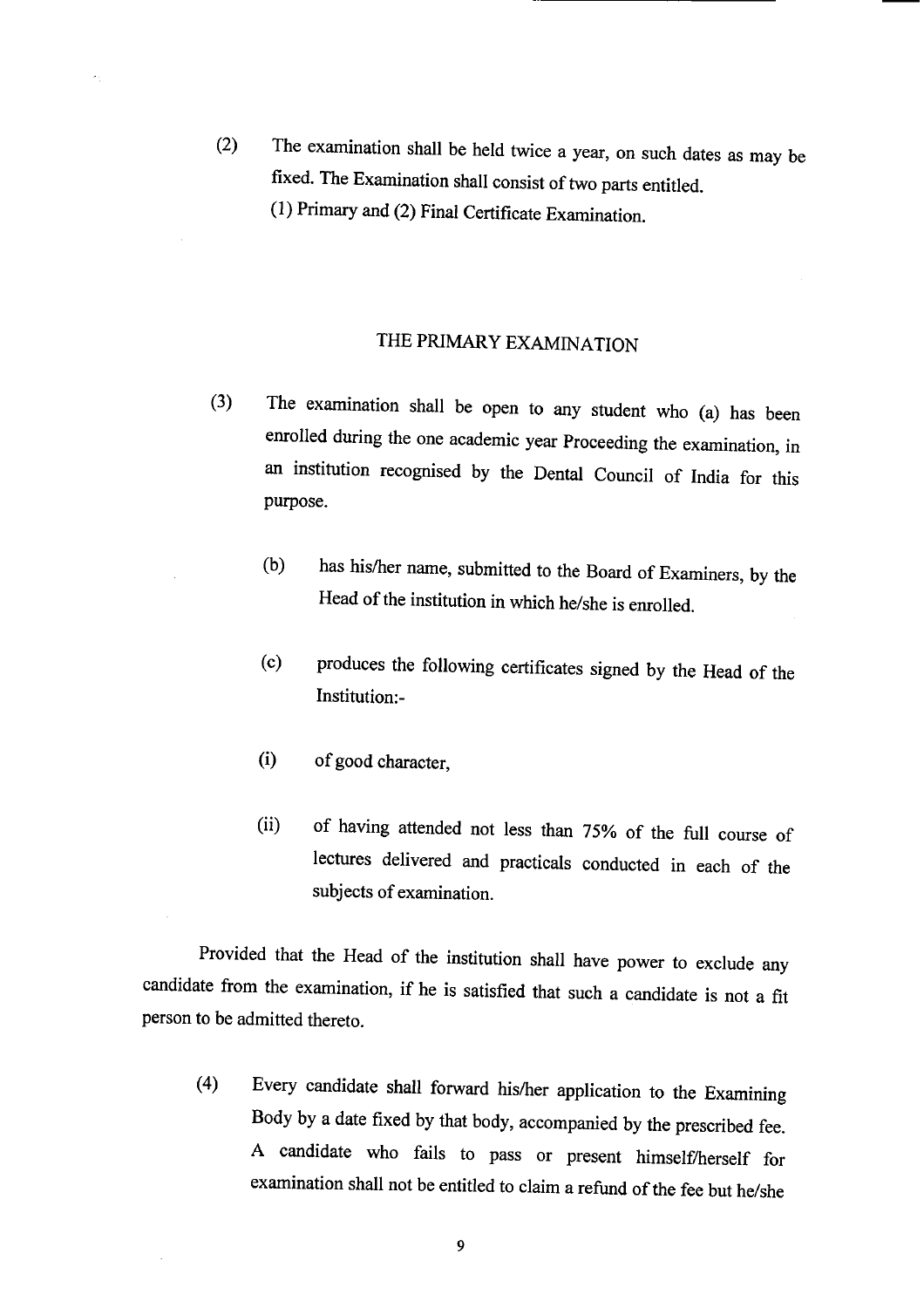(2) The examination shall be held twice a year, on such dates as may be fixed. The Examination shall consist of two parts entitled. (1) Primary and (2) Final Certificate Examination.

#### THE PRIMARY EXAMINATION

- (3) The examination shall be open to any student who (a) has been enrolled during the one academic year Proceeding the examination, in an institution recognised by the Dental Council of India for this purpose.
	- (b) has his/her name, submitted to the Board of Examiners, by the Head of the institution in which he/she is enrolled.
	- (c) produces the following certificates signed by the Head of the Institution:-
	- (i) of good character,
	- (ii) of having attended not less than *75%* of the full course of lectures delivered and practicals conducted in each of the subjects of examination.

Provided that the Head of the institution shall have power to exclude any candidate from the examination, if he is satisfied that such a candidate is not a fit person to be admitted thereto.

(4) Every candidate shall forward his/her application to the Examining Body by a date fixed by that body, accompanied by the prescribed fee. A candidate who fails to pass or present himself/herself for examination shall not be entitled to claim a refund of the fee but he/she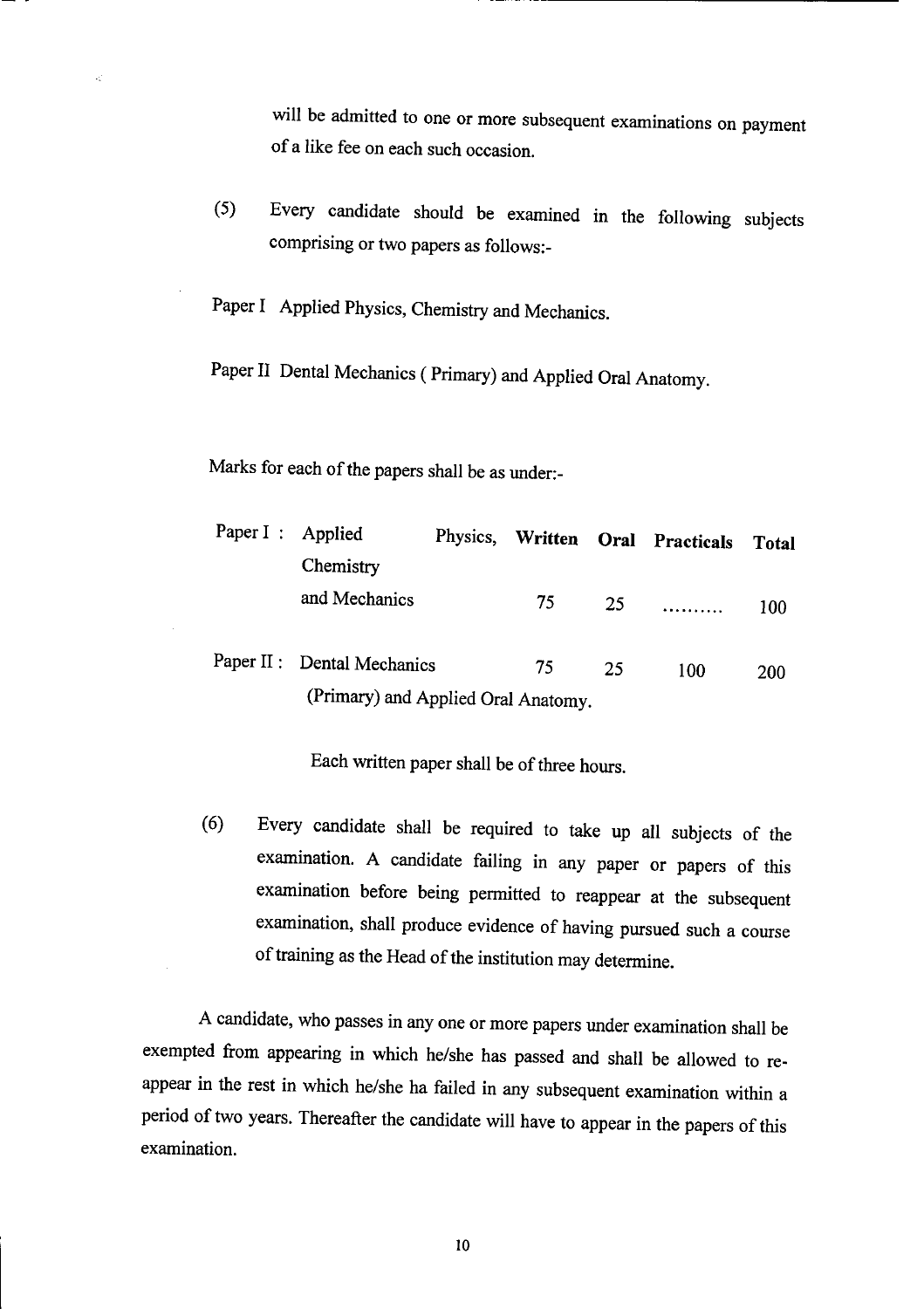will be admitted to one or more subsequent examinations on payment of a like fee on each such occasion.

*(5)* Every candidate should be examined in the following subjects comprising or two papers as follows:-

Paper I Applied Physics, Chemistry and Mechanics.

Paper II Dental Mechanics (Primary) and Applied Oral Anatomy.

Marks for each of the papers shall be as under:-

|  | Paper I : Applied                   |  |    |    | Physics, Written Oral Practicals | <b>Total</b> |
|--|-------------------------------------|--|----|----|----------------------------------|--------------|
|  | Chemistry                           |  |    |    |                                  |              |
|  | and Mechanics                       |  | 75 | 25 | .                                | 100          |
|  | Paper II : Dental Mechanics         |  | 75 | 25 | 100                              | 200          |
|  | (Primary) and Applied Oral Anatomy. |  |    |    |                                  |              |

Each written paper shall be of three hours.

(6) Every candidate shall be required to take up all subjects of the examination. A candidate failing in any paper or papers of this examination before being permitted to reappear at the subsequent examination, shall produce evidence of having pursued such a course of training as the Head of the institution may determine.

A candidate, who passes in any one or more papers under examination shall be exempted from appearing in which he/she has passed and shall be allowed to reappear in the rest in which he/she ha failed in any subsequent examination within a period of two years. Thereafter the candidate will have to appear in the papers of this examination.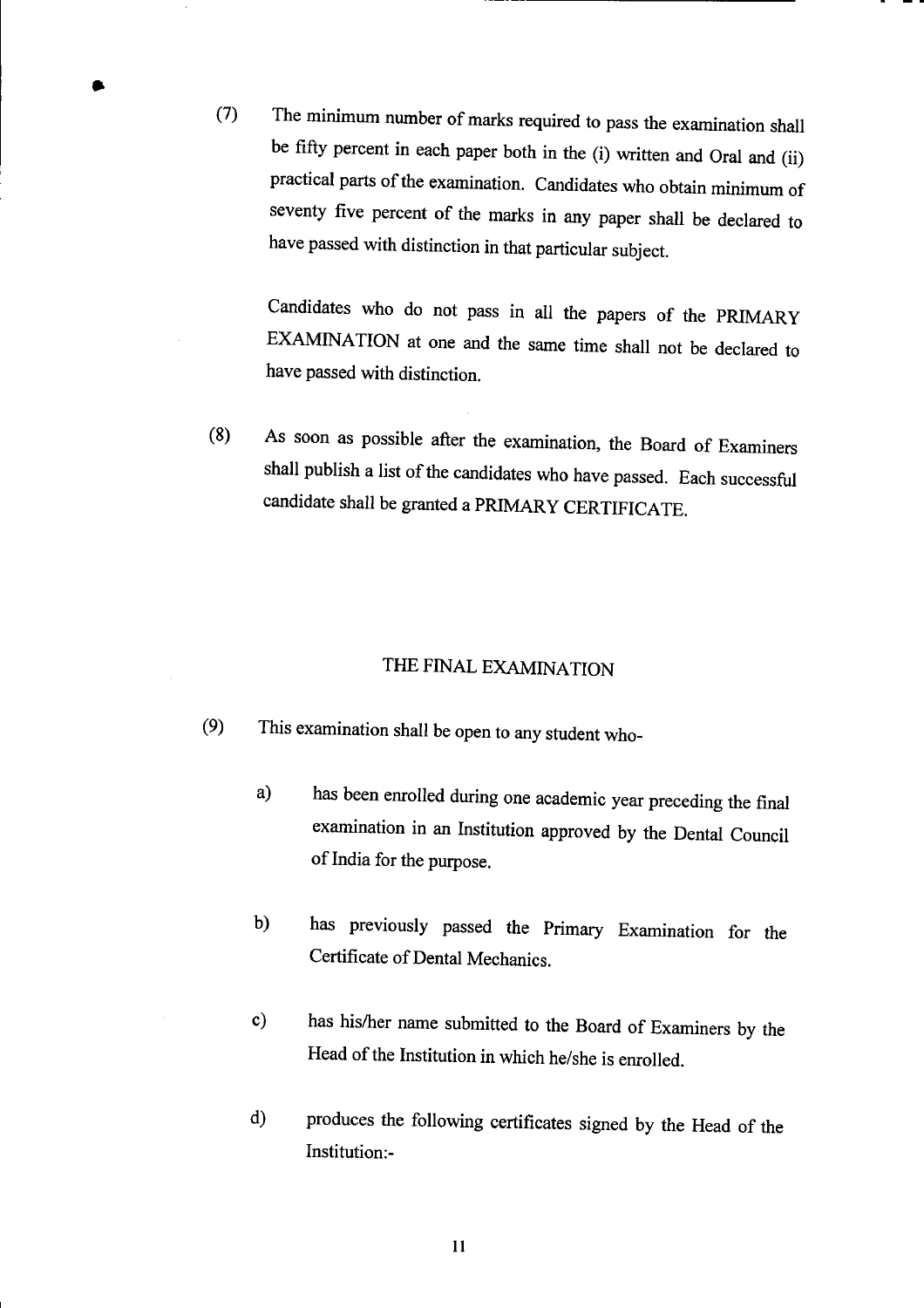(7) The *minimum* number of marks required to pass the examination shall be fifty percent in each paper both in the (i) written and Oral and (ii) practical parts of the examination. Candidates who obtain minimum of seventy five percent of the marks in any paper shall be declared to have passed with distinction in that particular subject.

Candidates who do not pass in all the papers of the PRIMARY EXAMINATION at one and the same time shall not be declared to have passed with distinction.

(8) As soon as possible after the examination, the Board of Examiners shall publish a list of the candidates who have passed. Each successful candidate shall be granted a PRIMARY CERTIFICATE.

#### THE FINAL EXAMINATION

- (9) This examination shall be open to any student who
	- a) has been enrolled during one academic year preceding the final examination in an Institution approved by the Dental Council of India for the purpose.
	- b) has previously passed the Primary Examination for the Certificate of Dental Mechanics.
	- c) has his/her name submitted to the Board of Examiners by the Head of the Institution in which he/she is enrolled.
	- d) produces the following certificates signed by the Head of the Institution:-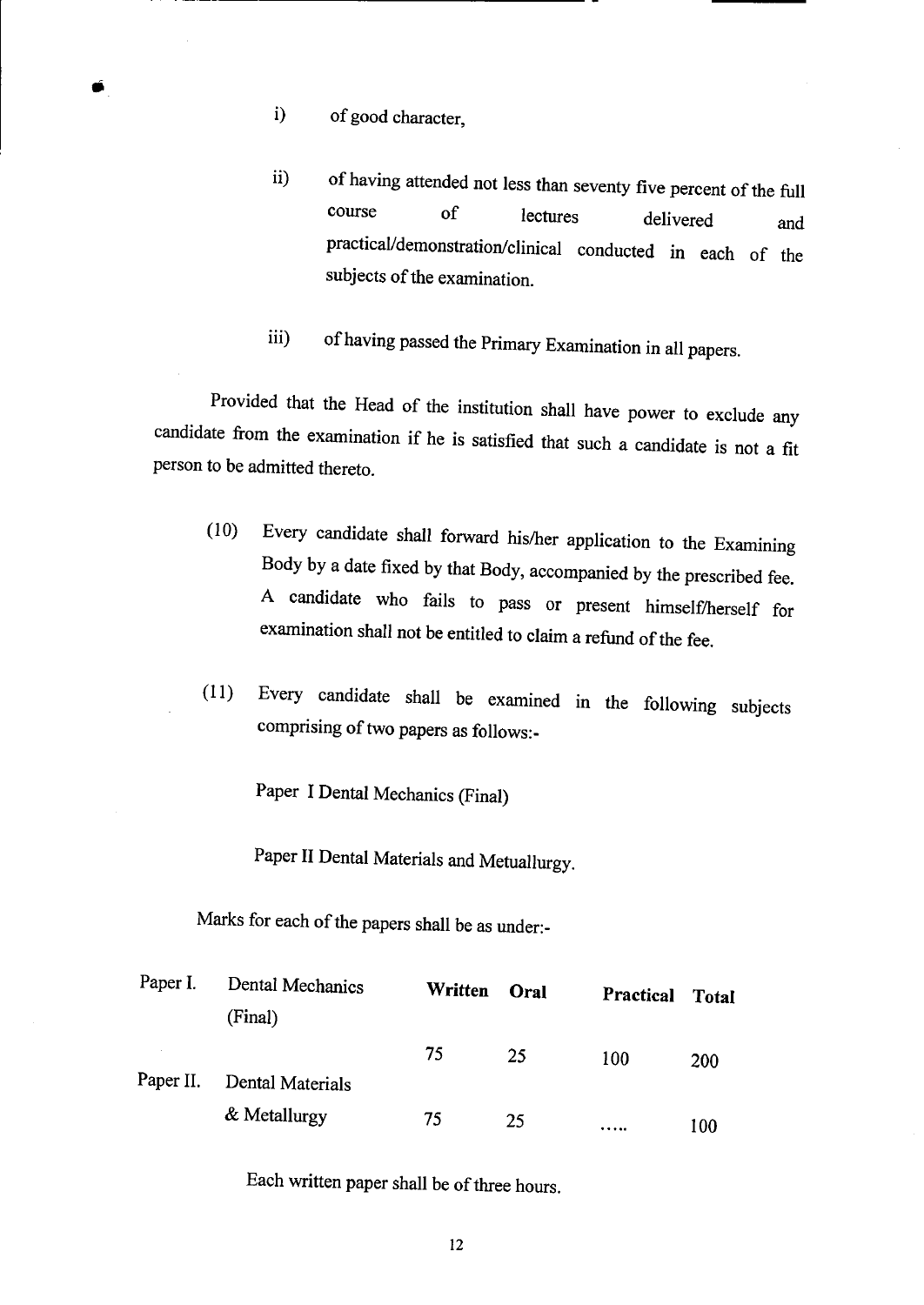- i) of good character,
- ii) of having attended not less than seventy five percent of the full course of lectures delivered and practical/demonstration/clinical conducted in each of the subjects of the examination.
- iii) of having passed the Primary Examination in all papers.

Provided that the Head of the institution shall have power to exclude any candidate from the examination if he is satisfied that such a candidate is not a fit person to be admitted thereto.

- (10) Every candidate shall forward his/her application to the Examining Body by a date fixed by that Body, accompanied by the prescribed fee. A candidate who fails to pass or present himself/herself for examination shall not be entitled to claim a refund of the fee.
- (11) Every candidate shall be examined in the following subjects comprising of two papers as follows:-

Paper I Dental Mechanics (Final)

Paper II Dental Materials and Metuallurgy.

Marks for each of the papers shall be as under:-

| Paper I.  | Dental Mechanics<br>(Final) | Written | Oral | Practical | <b>Total</b> |
|-----------|-----------------------------|---------|------|-----------|--------------|
| Paper II. | Dental Materials            | 75      | 25   | 100       | <b>200</b>   |
|           | & Metallurgy                | 75      | 25   |           | 100          |

Each written paper shall be of three hours.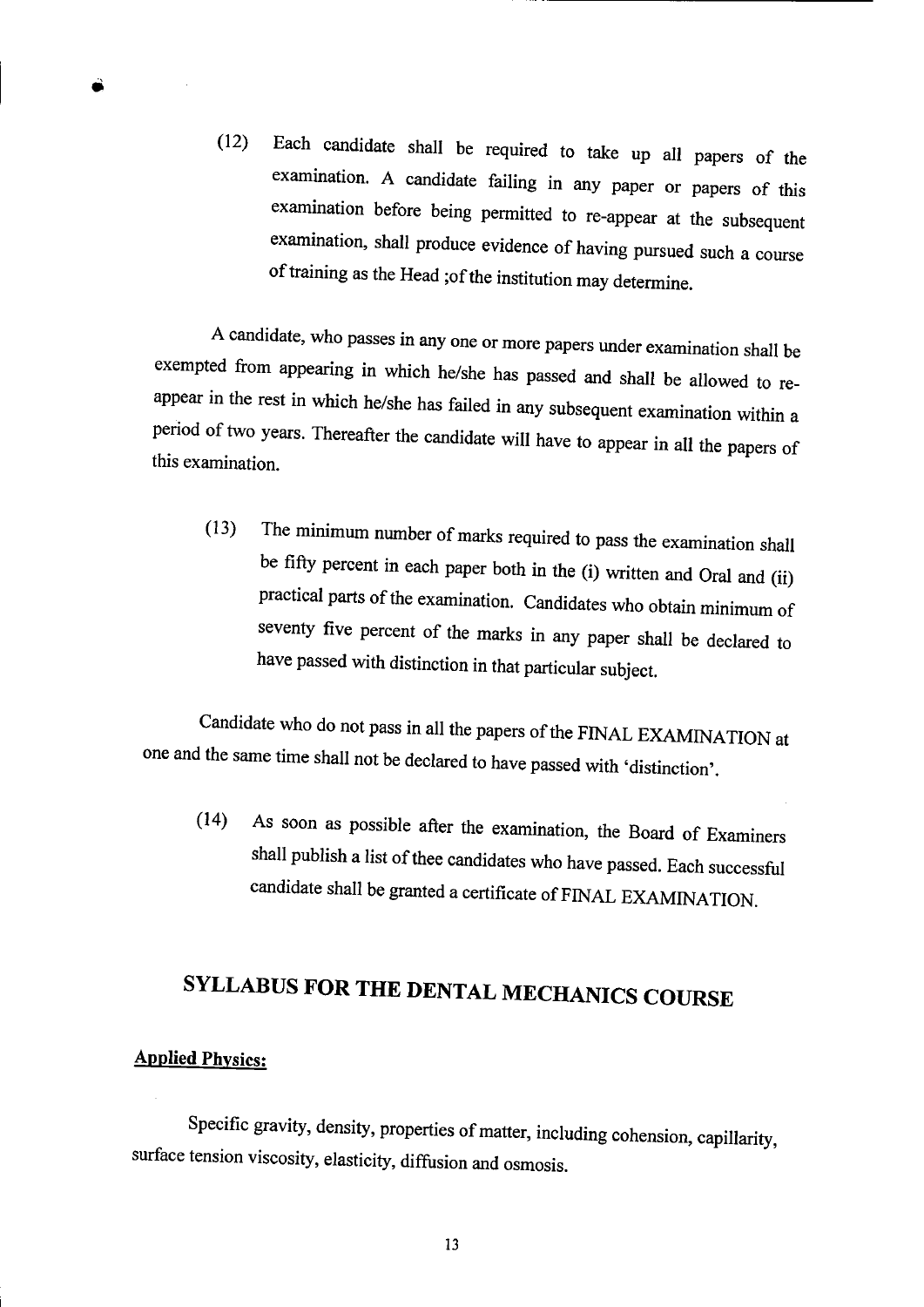(12) Each candidate shall be required to take up all papers of the examination A candidate failing in any paper or papers of this examination before being permitted to re-appear at the subsequent examination, shall produce evidence of having pursued such a course of training as the Head ;of the institution may determine.

A candidate, who passes in any one or more papers under examination shall be exempted from appearing in which he/she has passed and shall be allowed to reappear in the rest in which he/she has failed in any subsequent examination within a period of two years. Thereafter the candidate will have to appear in all the papers of this examination.

(13) The minimum number of marks required to pass the examination shall be fifty percent in each paper both in the (i) written and Oral and (ii) practical parts of the examination. Candidates who obtain minimum of seventy five percent of the marks in any paper shall be declared to have passed with distinction in that particular subject.

Candidate who do not pass in all the papers of the FINAL EXAMiNATION at one and the same time shall not be declared to have passed with 'distinction'.

(14) As soon as possible after the examination, the Board of Examiners shall publish a list of thee candidates who have passed. Each successful candidate shall be granted a certificate of FINAL EXAMINATION.

## SYLLABUS FOR THE DENTAL MECHANICS COURSE

#### Applied Physics:

Specific gravity, density, properties of matter, including cohension, capillarity, surface tension viscosity, elasticity, diffusion and osmosis.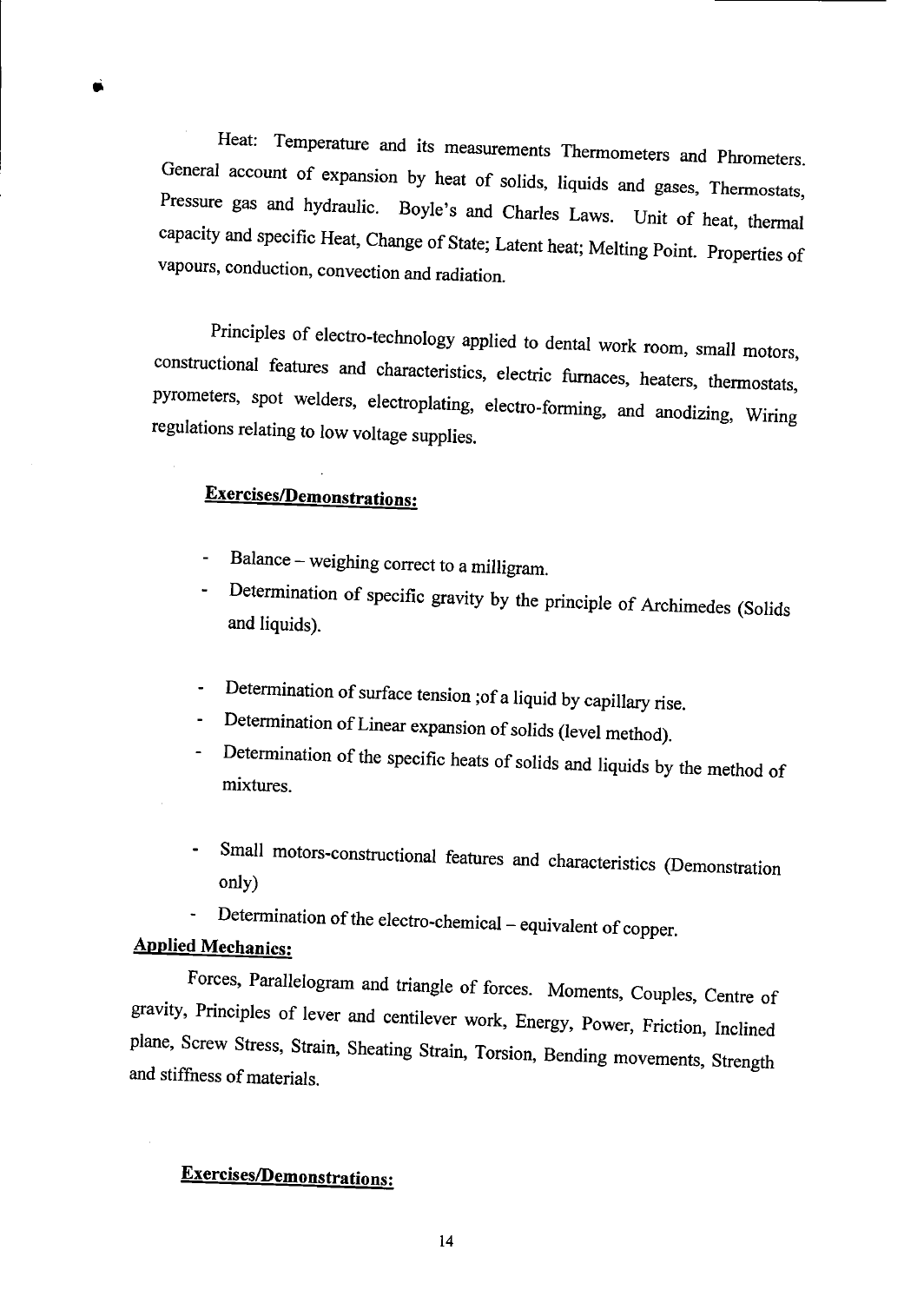Heat: Temperature and its measurements Thermometers and Phrometers. General account of expansion by heat of solids, liquids and gases, Thermostats, Pressure gas and hydraulic. Boyle's and Charles Laws. Unit of heat, thermal capacity and specific Heat, Change of State; Latent heat; Melting Point. Properties of vapours, conduction, convection and radiation.

Principles of electro-technology applied to dental work room, small motors, constructional features and characteristics, electric furnaces, heaters, thermostats, pyrometers, spot welders, electroplating, electro-forming, and anodizing, Wiring regulations relating to low voltage supplies.

## **Exercises/Demonstrations:**

- Balance weighing correct to a milligram.
- Determination of specific gravity by the principle of Archimedes (Solids and liquids).
- Determination of surface tension ;of a liquid by capillary rise.
- Determination of Linear expansion of solids (level method).
- Determination of the specific heats of solids and liquids by the method of mixtures.
- Small motors-constructional features and characteristics (Demonstration only)
- Determination of the electro-chemjcal equivalent of copper.  $\blacksquare$

#### **Applied Mechanics:**

Forces, Parallelogram and triangle of forces. Moments, Couples, Centre of gravity, Principles of lever and centilever work, Energy, Power, Friction, Inclined plane, Screw Stress, Strain, Sheating Strain, Torsion, Bending movements, Strength and stiffness of materials.

## **Exercises/Demonstrations.**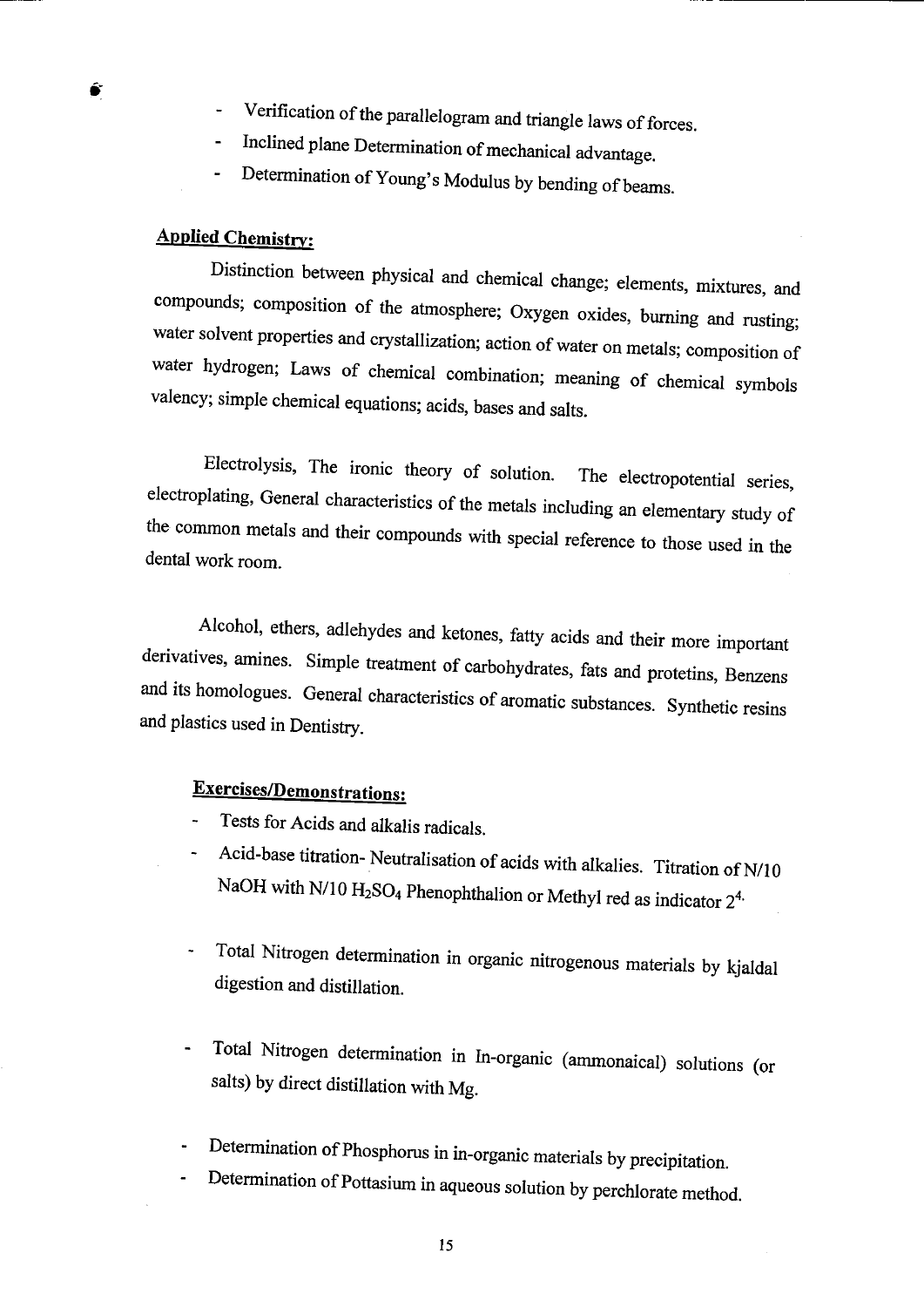- Verification of the parallelogram and triangle laws of forces.
- Inclined plane Determination of mechanical advantage.
- Determination of Young's Modulus by bending of beams.

#### **Applied Chemistry:**

Distinction between physical and chemical change; elements, mixtures, and compounds; composition of the atmosphere; Oxygen oxides, burning and rusting; water solvent properties and crystallization; action of water on metals; composition of water hydrogen; Laws of chemical combination; meaning of chemical symbols valency; simple chemical equations; acids, bases and salts.

Electrolysis, The ironic theory of solution. The electropotential series, electroplating, General characteristics of the metals including an elementary study of the common metals and their compounds with special reference to those used in the dental work room.

Alcohol, ethers, adlehydes and ketones, fatty acids and their more important derivatives, amines. Simple treatment of carbohydrates, fats and protetins, Benzens and its homologues. General characteristics of aromatic substances. Synthetic resins and plastics used in Dentistry.

#### **Exercises/Demonstrations:**

- Tests for Acids and alkalis radicals.
- Acid-base titration- Neutralisation of acids with alkalies. Titration of N/10 NaOH with N/10  $H_2SO_4$  Phenophthalion or Methyl red as indicator  $2^{4}$ .
- Total Nitrogen determination in organic nitrogenous materials by kjaldal digestion and distillation.
- Total Nitrogen determination in Tn-organic (ammonaical) solutions (or salts) by direct distillation with Mg.
- Determination of Phosphorus in in-organic materials by precipitation.
- Determination of Pottasium in aqueous solution by perchlorate method.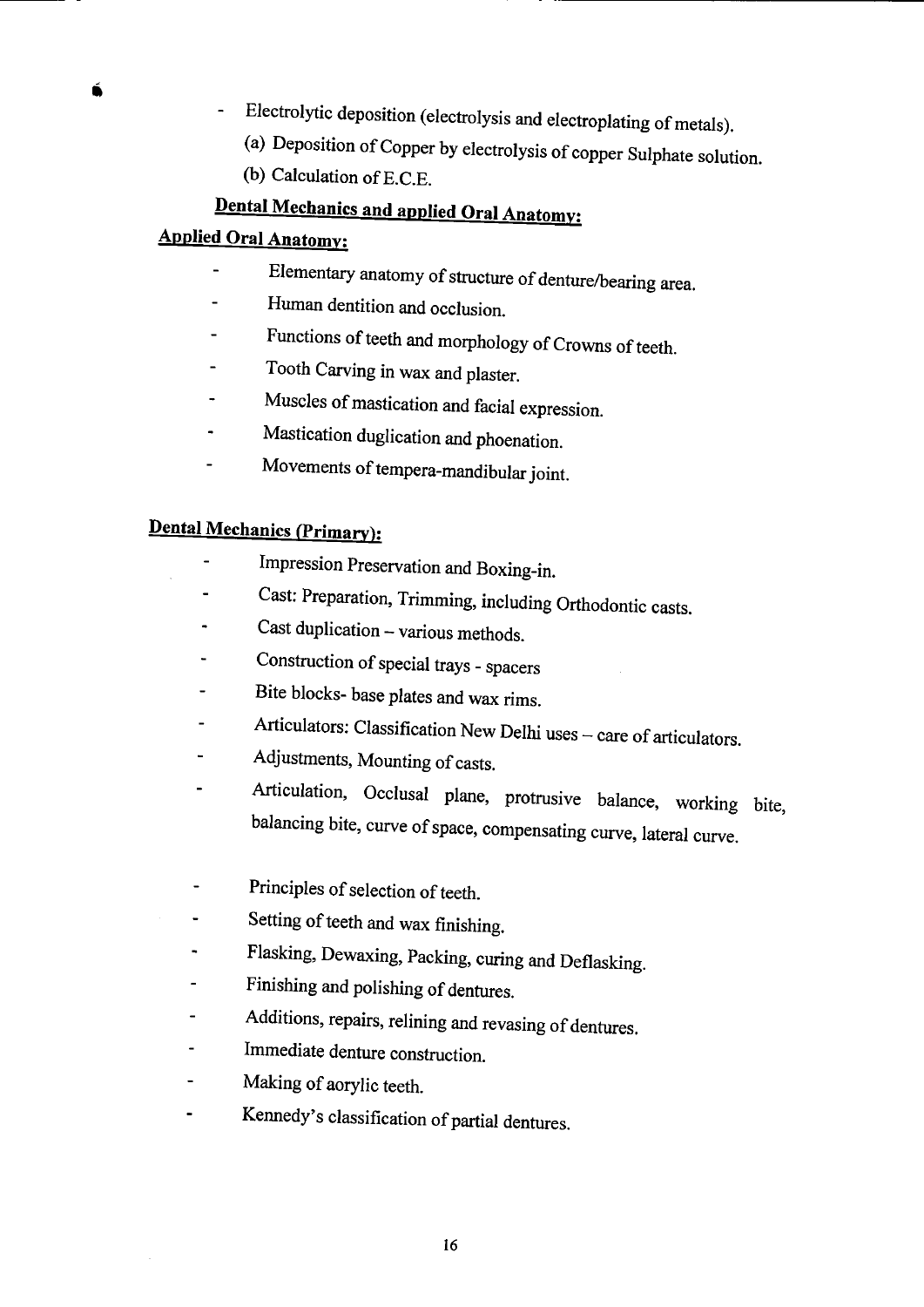- Electrolytic deposition (electrolysis and electroplating of metals).
	- (a) Deposition of Copper by electrolysis of copper Sulphate solution.
	- (b) Calculation of E.C.E.

## **Dental Mechanics and applied Oral Anatomy:**

#### **Applied Oral Anatomy:**

- Elementary anatomy of structure of denture/bearing area.  $\overline{a}$
- Human dentition and occlusion.
- Functions of teeth and morphology of Crowns of teeth.
- Tooth Carving in wax and plaster.
- Muscles of mastication and facial expression.
- Mastication duglication and phoenation.  $\ddot{\phantom{1}}$
- Movements of tempera-mandibular joint.  $\overline{a}$

## **Dental Mechanics (Primary):**

- Impression Preservation and Boxing-in.
- Cast: Preparation, Trimming, including Orthodontic casts.
- Cast duplication various methods.
- Construction of special trays spacers
- Bite blocks- base plates and wax rims.
- Articulators: Classification New Delhi uses care of articulators.
- Adjustments, Mounting of casts.
- Articulation, Occiusal plane, protrusive balance, working bite, balancing bite, curve of space, compensating curve, lateral curve.
- Principles of selection of teeth.
- Setting of teeth and wax finishing.  $\blacksquare$
- Flasking, Dewaxing, Packing, curing and Deflasking.
- Finishing and polishing of dentures.
- Additions, repairs, relining and revasing of dentures.
- Immediate denture construction.
- Making of aorylic teeth.  $\mathbf{r}$
- Kennedy's classification of partial dentures.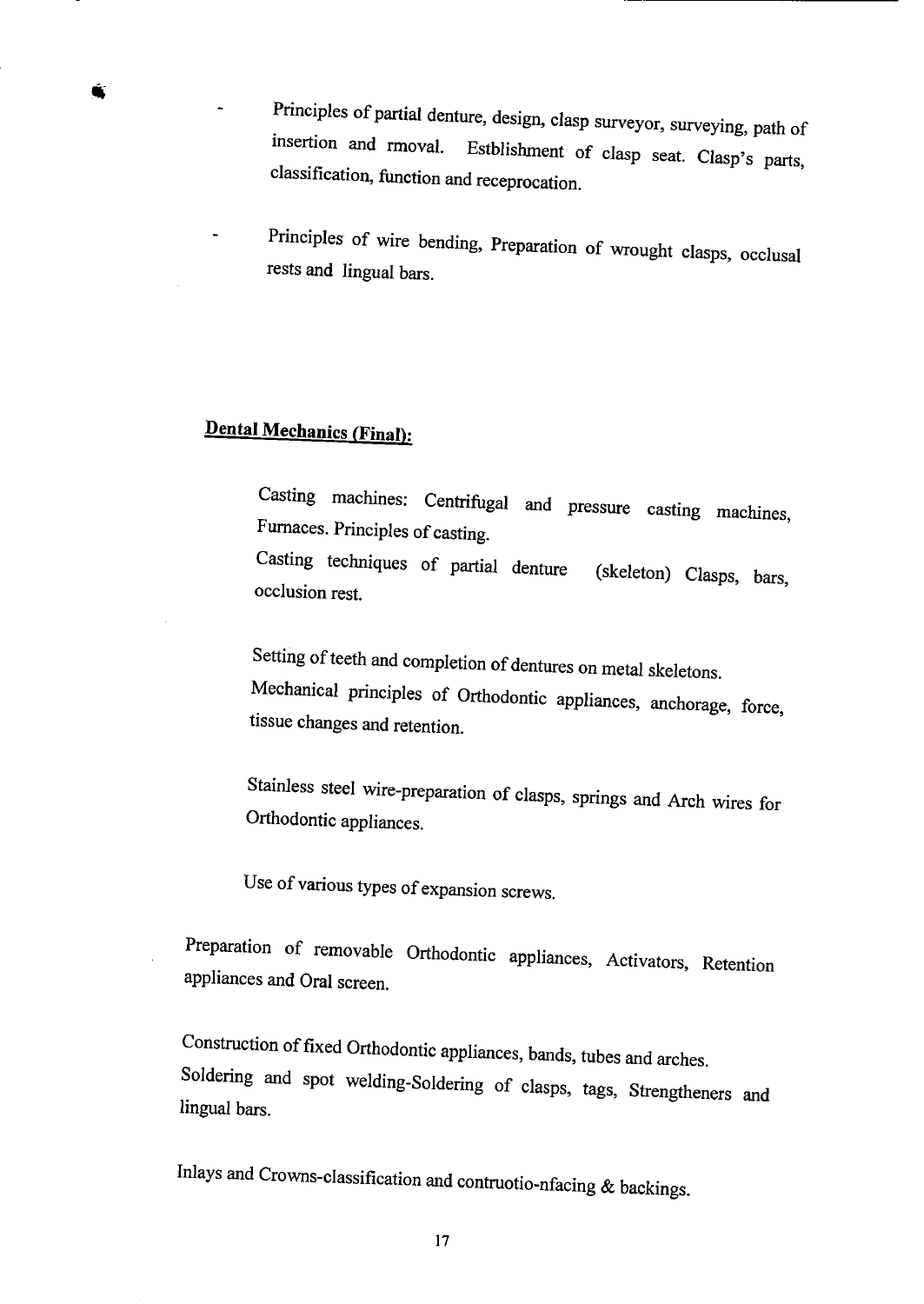- Principles of partial denture, design, clasp surveyor, surveying, path of insertion and rmoval. Estblishment of clasp seat. Clasp's parts, classification, function and receprocation
- Principles of wire bending, Preparation of wrought clasps, occlusal rests and lingual bars.

## **Dental Mechanics (Final):**

Casting machines: Centrifugal and pressure casting machines, Furnaces. Principles of casting. Casting techniques of partial denture (skeleton) Clasps, bars, Occlusion rest.

Setting of teeth and completion of dentures on metal skeletons. Mechanical principles of Orthodontic appliances, anchorage, force, tissue changes and retention.

Stainless steel wire-preparation of clasps, springs and Arch wires for Orthodontic appliances.

Use of various types of expansion screws.

Preparation of removable Orthodontic appliances, Activators, Retention appliances and Oral screen.

Construction of fixed Orthodontic appliances, bands, tubes and arches. Soldering and spot welding-Soldering of clasps, tags, Strengtheners and lingual bars.

Inlays and Crowns-classification and contruotio-nfacing  $&$  backings.